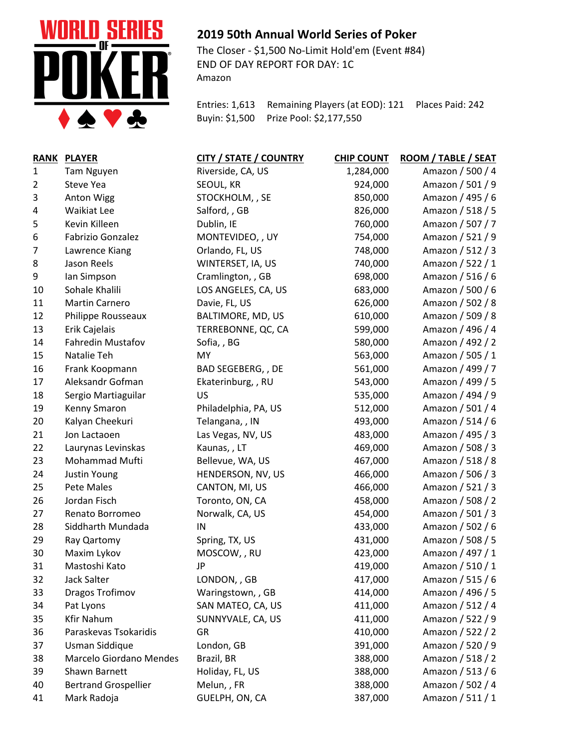

## **2019 50th Annual World Series of Poker**

The Closer - \$1,500 No-Limit Hold'em (Event #84) END OF DAY REPORT FOR DAY: 1C Amazon

Entries: 1,613 Remaining Players (at EOD): 121 Places Paid: 242 Buyin: \$1,500 Prize Pool: \$2,177,550

| <b>RANK</b>  | <b>PLAYER</b>               | <b>CITY / STATE / COUNTRY</b> | <b>CHIP COUNT</b> | ROOM / TABLE / SEAT |
|--------------|-----------------------------|-------------------------------|-------------------|---------------------|
| $\mathbf{1}$ | Tam Nguyen                  | Riverside, CA, US             | 1,284,000         | Amazon / 500 / 4    |
| 2            | Steve Yea                   | SEOUL, KR                     | 924,000           | Amazon / 501 / 9    |
| 3            | <b>Anton Wigg</b>           | STOCKHOLM, , SE               | 850,000           | Amazon / 495 / 6    |
| 4            | Waikiat Lee                 | Salford, , GB                 | 826,000           | Amazon / 518 / 5    |
| 5            | Kevin Killeen               | Dublin, IE                    | 760,000           | Amazon / 507 / 7    |
| 6            | Fabrizio Gonzalez           | MONTEVIDEO, , UY              | 754,000           | Amazon / 521 / 9    |
| 7            | Lawrence Kiang              | Orlando, FL, US               | 748,000           | Amazon / 512 / 3    |
| 8            | Jason Reels                 | WINTERSET, IA, US             | 740,000           | Amazon / 522 / 1    |
| 9            | lan Simpson                 | Cramlington, , GB             | 698,000           | Amazon / 516 / 6    |
| 10           | Sohale Khalili              | LOS ANGELES, CA, US           | 683,000           | Amazon / 500 / 6    |
| 11           | Martin Carnero              | Davie, FL, US                 | 626,000           | Amazon / 502 / 8    |
| 12           | Philippe Rousseaux          | BALTIMORE, MD, US             | 610,000           | Amazon / 509 / 8    |
| 13           | Erik Cajelais               | TERREBONNE, QC, CA            | 599,000           | Amazon / 496 / 4    |
| 14           | <b>Fahredin Mustafov</b>    | Sofia, BG                     | 580,000           | Amazon / 492 / 2    |
| 15           | Natalie Teh                 | MY                            | 563,000           | Amazon / 505 / 1    |
| 16           | Frank Koopmann              | BAD SEGEBERG, , DE            | 561,000           | Amazon / 499 / 7    |
| 17           | Aleksandr Gofman            | Ekaterinburg, , RU            | 543,000           | Amazon / 499 / 5    |
| 18           | Sergio Martiaguilar         | US                            | 535,000           | Amazon / 494 / 9    |
| 19           | Kenny Smaron                | Philadelphia, PA, US          | 512,000           | Amazon / 501 / 4    |
| 20           | Kalyan Cheekuri             | Telangana, , IN               | 493,000           | Amazon / 514 / 6    |
| 21           | Jon Lactaoen                | Las Vegas, NV, US             | 483,000           | Amazon / 495 / 3    |
| 22           | Laurynas Levinskas          | Kaunas,, LT                   | 469,000           | Amazon / 508 / 3    |
| 23           | Mohammad Mufti              | Bellevue, WA, US              | 467,000           | Amazon / 518 / 8    |
| 24           | Justin Young                | HENDERSON, NV, US             | 466,000           | Amazon / 506 / 3    |
| 25           | Pete Males                  | CANTON, MI, US                | 466,000           | Amazon / 521 / 3    |
| 26           | Jordan Fisch                | Toronto, ON, CA               | 458,000           | Amazon / 508 / 2    |
| 27           | Renato Borromeo             | Norwalk, CA, US               | 454,000           | Amazon / 501 / 3    |
| 28           | Siddharth Mundada           | IN                            | 433,000           | Amazon / 502 / 6    |
| 29           | Ray Qartomy                 | Spring, TX, US                | 431,000           | Amazon / 508 / 5    |
| 30           | Maxim Lykov                 | MOSCOW, , RU                  | 423,000           | Amazon / 497 / 1    |
| 31           | Mastoshi Kato               | JP                            | 419,000           | Amazon / 510 / 1    |
| 32           | Jack Salter                 | LONDON, , GB                  | 417,000           | Amazon / 515 / 6    |
| 33           | Dragos Trofimov             | Waringstown, , GB             | 414,000           | Amazon / 496 / 5    |
| 34           | Pat Lyons                   | SAN MATEO, CA, US             | 411,000           | Amazon / 512 / 4    |
| 35           | <b>Kfir Nahum</b>           | SUNNYVALE, CA, US             | 411,000           | Amazon / 522 / 9    |
| 36           | Paraskevas Tsokaridis       | GR                            | 410,000           | Amazon / 522 / 2    |
| 37           | Usman Siddique              | London, GB                    | 391,000           | Amazon / 520 / 9    |
| 38           | Marcelo Giordano Mendes     | Brazil, BR                    | 388,000           | Amazon / 518 / 2    |
| 39           | Shawn Barnett               | Holiday, FL, US               | 388,000           | Amazon / 513 / 6    |
| 40           | <b>Bertrand Grospellier</b> | Melun,, FR                    | 388,000           | Amazon / 502 / 4    |
| 41           | Mark Radoja                 | GUELPH, ON, CA                | 387,000           | Amazon / 511 / 1    |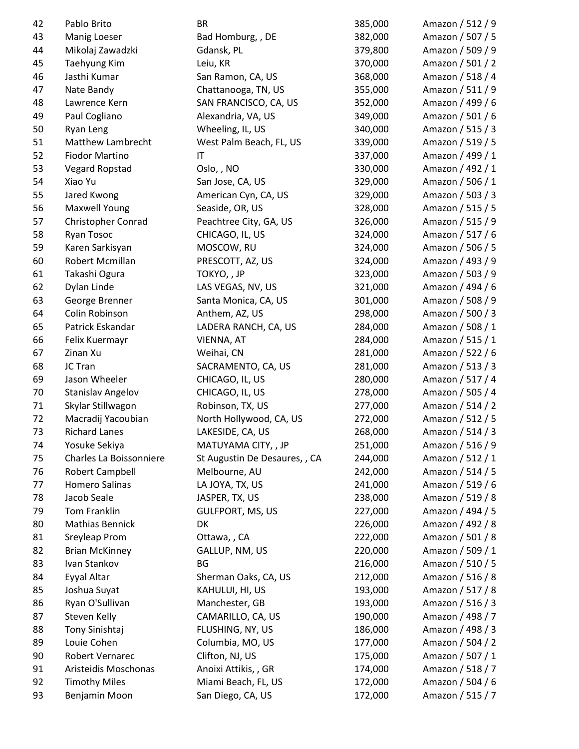| 42 | Pablo Brito              | BR                            | 385,000 | Amazon / 512 / 9 |
|----|--------------------------|-------------------------------|---------|------------------|
| 43 | Manig Loeser             | Bad Homburg, , DE             | 382,000 | Amazon / 507 / 5 |
| 44 | Mikolaj Zawadzki         | Gdansk, PL                    | 379,800 | Amazon / 509 / 9 |
| 45 | Taehyung Kim             | Leiu, KR                      | 370,000 | Amazon / 501 / 2 |
| 46 | Jasthi Kumar             | San Ramon, CA, US             | 368,000 | Amazon / 518 / 4 |
| 47 | Nate Bandy               | Chattanooga, TN, US           | 355,000 | Amazon / 511 / 9 |
| 48 | Lawrence Kern            | SAN FRANCISCO, CA, US         | 352,000 | Amazon / 499 / 6 |
| 49 | Paul Cogliano            | Alexandria, VA, US            | 349,000 | Amazon / 501 / 6 |
| 50 | Ryan Leng                | Wheeling, IL, US              | 340,000 | Amazon / 515 / 3 |
| 51 | Matthew Lambrecht        | West Palm Beach, FL, US       | 339,000 | Amazon / 519 / 5 |
| 52 | <b>Fiodor Martino</b>    | IT                            | 337,000 | Amazon / 499 / 1 |
| 53 | Vegard Ropstad           | Oslo, , NO                    | 330,000 | Amazon / 492 / 1 |
| 54 | Xiao Yu                  | San Jose, CA, US              | 329,000 | Amazon / 506 / 1 |
| 55 | Jared Kwong              | American Cyn, CA, US          | 329,000 | Amazon / 503 / 3 |
| 56 | <b>Maxwell Young</b>     | Seaside, OR, US               | 328,000 | Amazon / 515 / 5 |
| 57 | Christopher Conrad       | Peachtree City, GA, US        | 326,000 | Amazon / 515 / 9 |
| 58 | <b>Ryan Tosoc</b>        | CHICAGO, IL, US               | 324,000 | Amazon / 517 / 6 |
| 59 | Karen Sarkisyan          | MOSCOW, RU                    | 324,000 | Amazon / 506 / 5 |
| 60 | Robert Mcmillan          | PRESCOTT, AZ, US              | 324,000 | Amazon / 493 / 9 |
| 61 | Takashi Ogura            | TOKYO, , JP                   | 323,000 | Amazon / 503 / 9 |
| 62 | Dylan Linde              | LAS VEGAS, NV, US             | 321,000 | Amazon / 494 / 6 |
| 63 | George Brenner           | Santa Monica, CA, US          | 301,000 | Amazon / 508 / 9 |
| 64 | Colin Robinson           | Anthem, AZ, US                | 298,000 | Amazon / 500 / 3 |
| 65 | Patrick Eskandar         | LADERA RANCH, CA, US          | 284,000 | Amazon / 508 / 1 |
| 66 | Felix Kuermayr           | VIENNA, AT                    | 284,000 | Amazon / 515 / 1 |
| 67 | Zinan Xu                 | Weihai, CN                    | 281,000 | Amazon / 522 / 6 |
| 68 | JC Tran                  | SACRAMENTO, CA, US            | 281,000 | Amazon / 513 / 3 |
| 69 | Jason Wheeler            | CHICAGO, IL, US               | 280,000 | Amazon / 517 / 4 |
| 70 | <b>Stanislav Angelov</b> | CHICAGO, IL, US               | 278,000 | Amazon / 505 / 4 |
| 71 | Skylar Stillwagon        | Robinson, TX, US              | 277,000 | Amazon / 514 / 2 |
| 72 | Macradij Yacoubian       | North Hollywood, CA, US       | 272,000 | Amazon / 512 / 5 |
| 73 | <b>Richard Lanes</b>     | LAKESIDE, CA, US              | 268,000 | Amazon / 514 / 3 |
| 74 | Yosuke Sekiya            | MATUYAMA CITY, , JP           | 251,000 | Amazon / 516 / 9 |
| 75 | Charles La Boissonniere  | St Augustin De Desaures, , CA | 244,000 | Amazon / 512 / 1 |
| 76 | Robert Campbell          | Melbourne, AU                 | 242,000 | Amazon / 514 / 5 |
| 77 | Homero Salinas           | LA JOYA, TX, US               | 241,000 | Amazon / 519 / 6 |
| 78 | Jacob Seale              | JASPER, TX, US                | 238,000 | Amazon / 519 / 8 |
| 79 | Tom Franklin             | <b>GULFPORT, MS, US</b>       | 227,000 | Amazon / 494 / 5 |
| 80 | <b>Mathias Bennick</b>   | DK                            | 226,000 | Amazon / 492 / 8 |
| 81 | Sreyleap Prom            | Ottawa, , CA                  | 222,000 | Amazon / 501 / 8 |
| 82 | <b>Brian McKinney</b>    | GALLUP, NM, US                | 220,000 | Amazon / 509 / 1 |
| 83 | Ivan Stankov             | BG                            | 216,000 | Amazon / 510 / 5 |
| 84 | Eyyal Altar              | Sherman Oaks, CA, US          | 212,000 | Amazon / 516 / 8 |
| 85 | Joshua Suyat             | KAHULUI, HI, US               | 193,000 | Amazon / 517 / 8 |
| 86 | Ryan O'Sullivan          | Manchester, GB                | 193,000 | Amazon / 516 / 3 |
| 87 | Steven Kelly             | CAMARILLO, CA, US             | 190,000 | Amazon / 498 / 7 |
| 88 | Tony Sinishtaj           | FLUSHING, NY, US              | 186,000 | Amazon / 498 / 3 |
| 89 | Louie Cohen              | Columbia, MO, US              | 177,000 | Amazon / 504 / 2 |
| 90 | Robert Vernarec          | Clifton, NJ, US               | 175,000 | Amazon / 507 / 1 |
| 91 | Aristeidis Moschonas     | Anoixi Attikis, , GR          | 174,000 | Amazon / 518 / 7 |
| 92 | <b>Timothy Miles</b>     | Miami Beach, FL, US           | 172,000 | Amazon / 504 / 6 |
| 93 | Benjamin Moon            | San Diego, CA, US             | 172,000 | Amazon / 515 / 7 |
|    |                          |                               |         |                  |